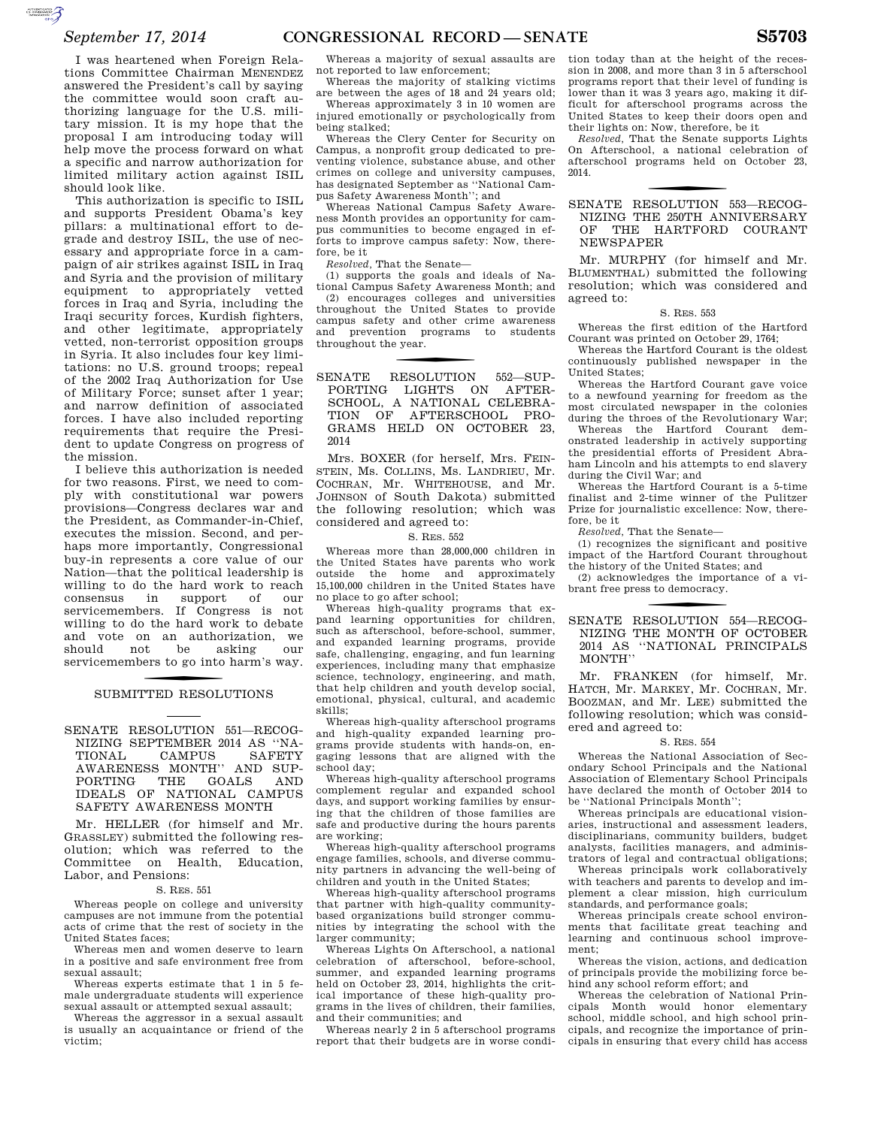I was heartened when Foreign Relations Committee Chairman MENENDEZ answered the President's call by saying the committee would soon craft authorizing language for the U.S. military mission. It is my hope that the proposal I am introducing today will help move the process forward on what a specific and narrow authorization for limited military action against ISIL should look like.

This authorization is specific to ISIL and supports President Obama's key pillars: a multinational effort to degrade and destroy ISIL, the use of necessary and appropriate force in a campaign of air strikes against ISIL in Iraq and Syria and the provision of military equipment to appropriately vetted forces in Iraq and Syria, including the Iraqi security forces, Kurdish fighters, and other legitimate, appropriately vetted, non-terrorist opposition groups in Syria. It also includes four key limitations: no U.S. ground troops; repeal of the 2002 Iraq Authorization for Use of Military Force; sunset after 1 year; and narrow definition of associated forces. I have also included reporting requirements that require the President to update Congress on progress of the mission.

I believe this authorization is needed for two reasons. First, we need to comply with constitutional war powers provisions—Congress declares war and the President, as Commander-in-Chief, executes the mission. Second, and perhaps more importantly, Congressional buy-in represents a core value of our Nation—that the political leadership is willing to do the hard work to reach consensus in support of our servicemembers. If Congress is not willing to do the hard work to debate and vote on an authorization, we should not be asking our servicemembers to go into harm's way.

# SUBMITTED RESOLUTIONS

SENATE RESOLUTION 551—RECOG-NIZING SEPTEMBER 2014 AS ''NA-TIONAL CAMPUS SAFETY AWARENESS MONTH" AND SUP-<br>PORTING THE GOALS AND PORTING THE GOALS AND IDEALS OF NATIONAL CAMPUS SAFETY AWARENESS MONTH

Mr. HELLER (for himself and Mr. GRASSLEY) submitted the following resolution; which was referred to the Committee on Health, Education, Labor, and Pensions:

#### S. RES. 551

Whereas people on college and university campuses are not immune from the potential acts of crime that the rest of society in the United States faces;

Whereas men and women deserve to learn in a positive and safe environment free from sexual assault;

Whereas experts estimate that 1 in 5 female undergraduate students will experience sexual assault or attempted sexual assault;

Whereas the aggressor in a sexual assault is usually an acquaintance or friend of the victim;

Whereas a majority of sexual assaults are not reported to law enforcement;

Whereas the majority of stalking victims are between the ages of 18 and 24 years old;

Whereas approximately 3 in 10 women are injured emotionally or psychologically from being stalked;

Whereas the Clery Center for Security on Campus, a nonprofit group dedicated to preventing violence, substance abuse, and other crimes on college and university campuses, has designated September as ''National Campus Safety Awareness Month''; and

Whereas National Campus Safety Awareness Month provides an opportunity for campus communities to become engaged in efforts to improve campus safety: Now, therefore, be it

*Resolved,* That the Senate—

(1) supports the goals and ideals of National Campus Safety Awareness Month; and (2) encourages colleges and universities throughout the United States to provide campus safety and other crime awareness and prevention programs to students throughout the year.

f SENATE RESOLUTION 552—SUP-PORTING LIGHTS ON AFTER-SCHOOL, A NATIONAL CELEBRA-TION OF AFTERSCHOOL PRO-GRAMS HELD ON OCTOBER 23, 2014

Mrs. BOXER (for herself, Mrs. FEIN-STEIN, Ms. COLLINS, Ms. LANDRIEU, Mr. COCHRAN, Mr. WHITEHOUSE, and Mr. JOHNSON of South Dakota) submitted the following resolution; which was considered and agreed to:

### S. RES. 552

Whereas more than 28,000,000 children in the United States have parents who work outside the home and approximately 15,100,000 children in the United States have no place to go after school;

Whereas high-quality programs that expand learning opportunities for children, such as afterschool, before-school, summer, and expanded learning programs, provide safe, challenging, engaging, and fun learning experiences, including many that emphasize science, technology, engineering, and math, that help children and youth develop social, emotional, physical, cultural, and academic skills;

Whereas high-quality afterschool programs and high-quality expanded learning programs provide students with hands-on, engaging lessons that are aligned with the school day;

Whereas high-quality afterschool programs complement regular and expanded school days, and support working families by ensuring that the children of those families are safe and productive during the hours parents are working;

Whereas high-quality afterschool programs engage families, schools, and diverse community partners in advancing the well-being of children and youth in the United States;

Whereas high-quality afterschool programs that partner with high-quality communitybased organizations build stronger communities by integrating the school with the larger community;

Whereas Lights On Afterschool, a national celebration of afterschool, before-school, summer, and expanded learning programs held on October 23, 2014, highlights the critical importance of these high-quality programs in the lives of children, their families, and their communities; and

Whereas nearly 2 in 5 afterschool programs report that their budgets are in worse condition today than at the height of the recession in 2008, and more than 3 in 5 afterschool programs report that their level of funding is lower than it was 3 years ago, making it difficult for afterschool programs across the United States to keep their doors open and their lights on: Now, therefore, be it

*Resolved,* That the Senate supports Lights On Afterschool, a national celebration of afterschool programs held on October 23, 2014.

## SENATE RESOLUTION 553-RECOG-NIZING THE 250TH ANNIVERSARY OF THE HARTFORD COURANT NEWSPAPER

Mr. MURPHY (for himself and Mr. BLUMENTHAL) submitted the following resolution; which was considered and agreed to:

#### S. RES. 553

Whereas the first edition of the Hartford Courant was printed on October 29, 1764;

Whereas the Hartford Courant is the oldest continuously published newspaper in the United States;

Whereas the Hartford Courant gave voice to a newfound yearning for freedom as the most circulated newspaper in the colonies during the throes of the Revolutionary War;

Whereas the Hartford Courant demonstrated leadership in actively supporting the presidential efforts of President Abraham Lincoln and his attempts to end slavery during the Civil War; and

Whereas the Hartford Courant is a 5-time finalist and 2-time winner of the Pulitzer Prize for journalistic excellence: Now, therefore, be it

*Resolved,* That the Senate—

(1) recognizes the significant and positive impact of the Hartford Courant throughout the history of the United States; and

(2) acknowledges the importance of a vibrant free press to democracy.

## SENATE RESOLUTION 554-RECOG-NIZING THE MONTH OF OCTOBER 2014 AS ''NATIONAL PRINCIPALS  $\text{MONTH}^{\prime\prime}$

Mr. FRANKEN (for himself, Mr. HATCH, Mr. MARKEY, Mr. COCHRAN, Mr. BOOZMAN, and Mr. LEE) submitted the following resolution; which was considered and agreed to:

#### S. RES. 554

Whereas the National Association of Secondary School Principals and the National Association of Elementary School Principals have declared the month of October 2014 to be ''National Principals Month'';

Whereas principals are educational visionaries, instructional and assessment leaders, disciplinarians, community builders, budget analysts, facilities managers, and administrators of legal and contractual obligations;

Whereas principals work collaboratively with teachers and parents to develop and implement a clear mission, high curriculum standards, and performance goals;

Whereas principals create school environments that facilitate great teaching and learning and continuous school improvement;

Whereas the vision, actions, and dedication of principals provide the mobilizing force behind any school reform effort; and

Whereas the celebration of National Principals Month would honor elementary school, middle school, and high school principals, and recognize the importance of principals in ensuring that every child has access